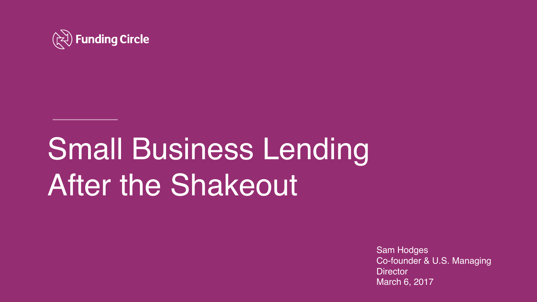

# Small Business Lending After the Shakeout

Sam Hodges Co-founder & U.S. Managing **Director** March 6, 2017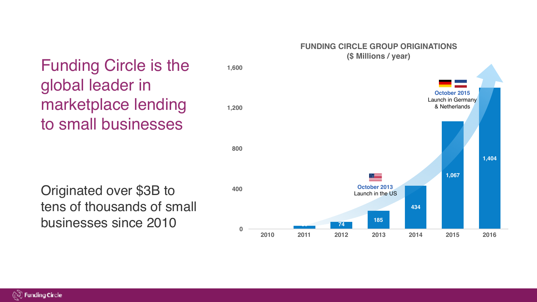#### **FUNDING CIRCLE GROUP ORIGINATIONS (\$ Millions / year)**



## Funding Circle is the global leader in marketplace lending to small businesses

tens of thousands of small businesses since 2010

(2) Funding Circle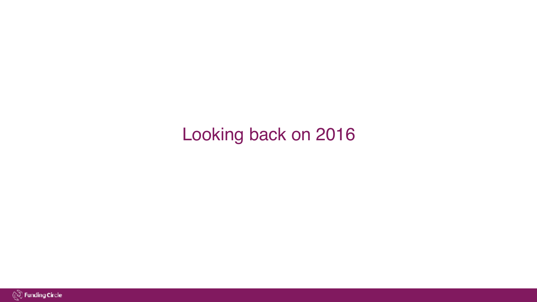## Looking back on 2016

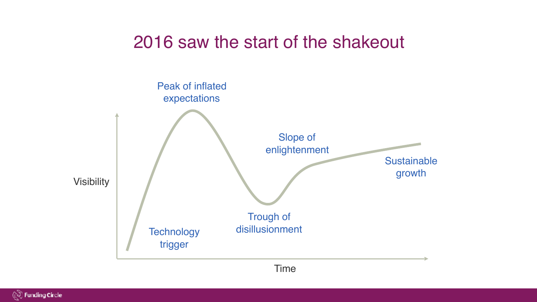### 2016 saw the start of the shakeout



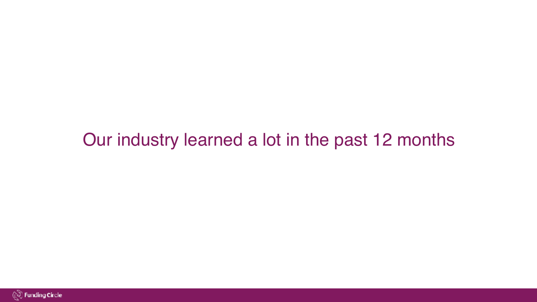### Our industry learned a lot in the past 12 months

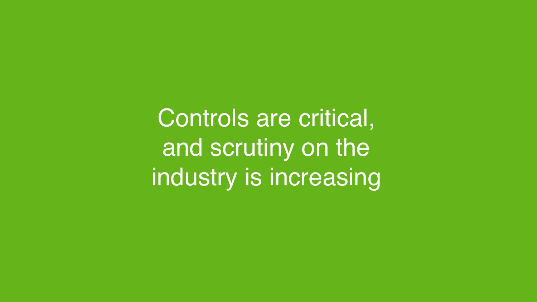Controls are critical, and scrutiny on the industry is increasing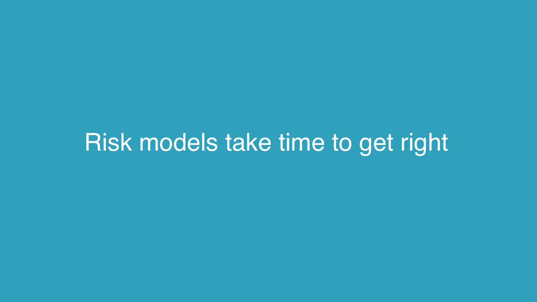# Risk models take time to get right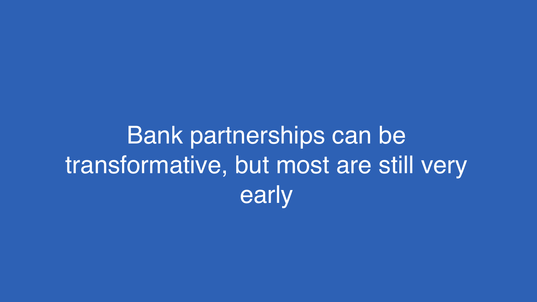Bank partnerships can be transformative, but most are still very early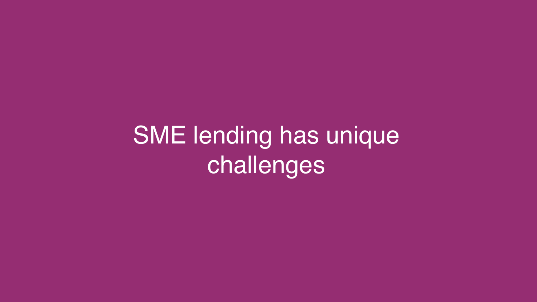# SME lending has unique challenges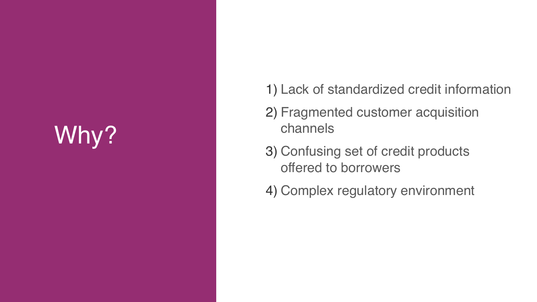# Why?

- 1) Lack of standardized credit information
- 2) Fragmented customer acquisition channels
- 3) Confusing set of credit products offered to borrowers
- 4) Complex regulatory environment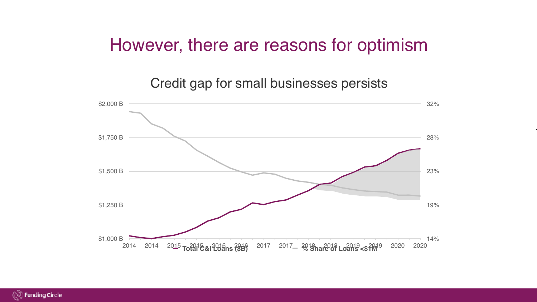#### However, there are reasons for optimism

Credit gap for small businesses persists



103.8

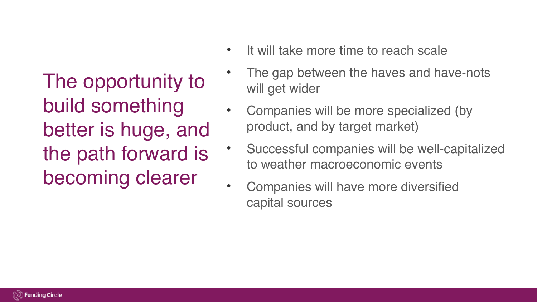The opportunity to build something better is huge, and the path forward is becoming clearer

- It will take more time to reach scale
- The gap between the haves and have-nots will get wider
- Companies will be more specialized (by product, and by target market)
	- Successful companies will be well-capitalized to weather macroeconomic events
- Companies will have more diversified capital sources

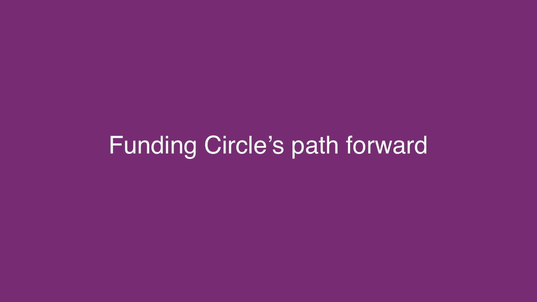# Funding Circle's path forward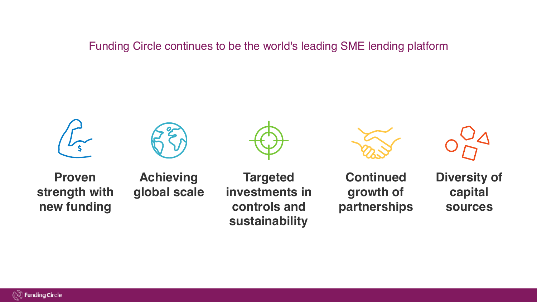Funding Circle continues to be the world's leading SME lending platform







**Proven strength with new funding**

**Achieving global scale**

**Targeted investments in controls and sustainability**



**Continued growth of partnerships** **Diversity of capital sources**

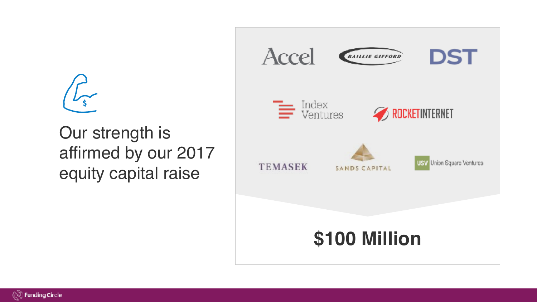$$
\int_{\mathsf{S}}
$$

Our strength is affirmed by our 2017 equity capital raise



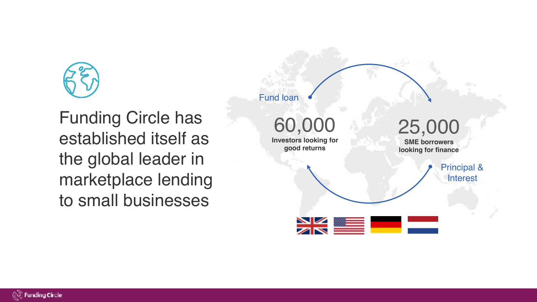

Funding Circle has established itself as the global leader in marketplace lending to small businesses

Fund loan

60,000 **Investors looking for good returns**

25,000

**SME borrowers looking for finance**

> Principal & **Interest**



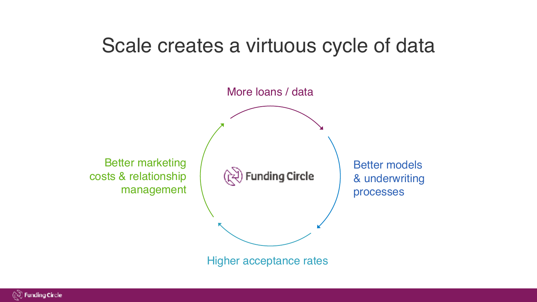## Scale creates a virtuous cycle of data



Higher acceptance rates

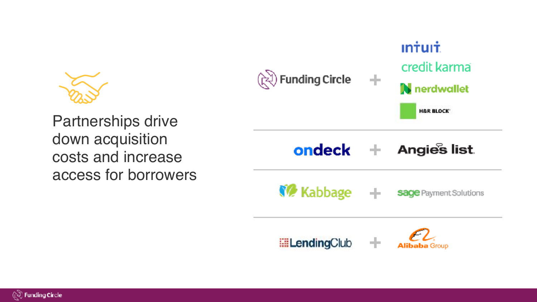



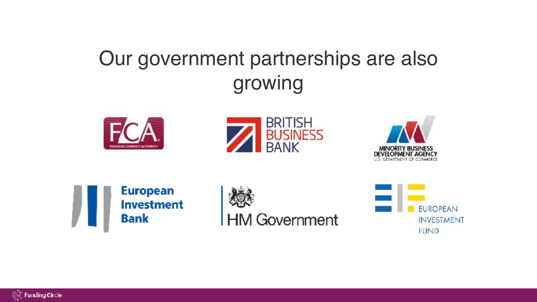# Our government partnerships are also growing













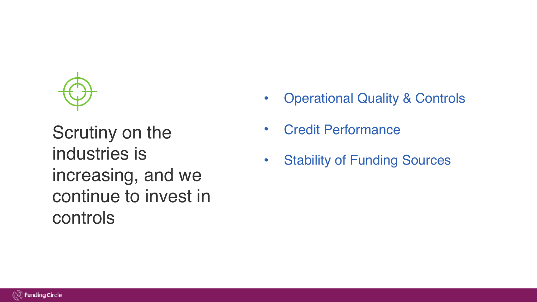

Scrutiny on the industries is increasing, and we continue to invest in controls

- **Operational Quality & Controls**
- Credit Performance
- Stability of Funding Sources

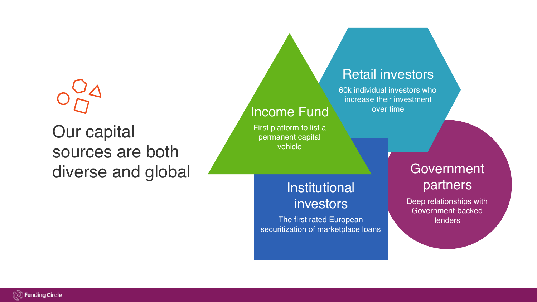# Our capital sources are both diverse and global diverse and global

#### Retail investors

60k individual investors who increase their investment over time

# **Institutional** investors

Income Fund

First platform to list a permanent capital vehicle

The first rated European securitization of marketplace loans

# partners

Deep relationships with Government-backed lenders

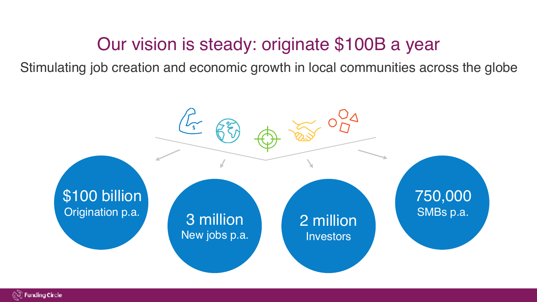## Our vision is steady: originate \$100B a year

Stimulating job creation and economic growth in local communities across the globe



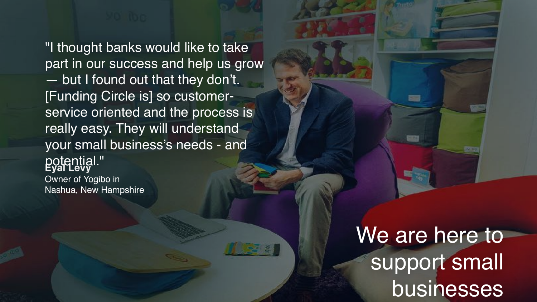**Eyal Levy** Owner of Yogibo in "I thought banks would like to take part in our success and help us grow — but I found out that they don't. [Funding Circle is] so customerservice oriented and the process is really easy. They will understand your small business's needs - and potential."

Nashua, New Hampshire

We are here to support small businesses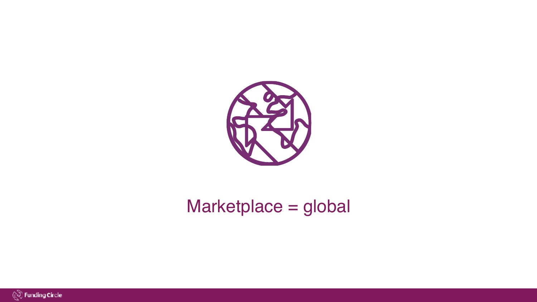

# Marketplace = global